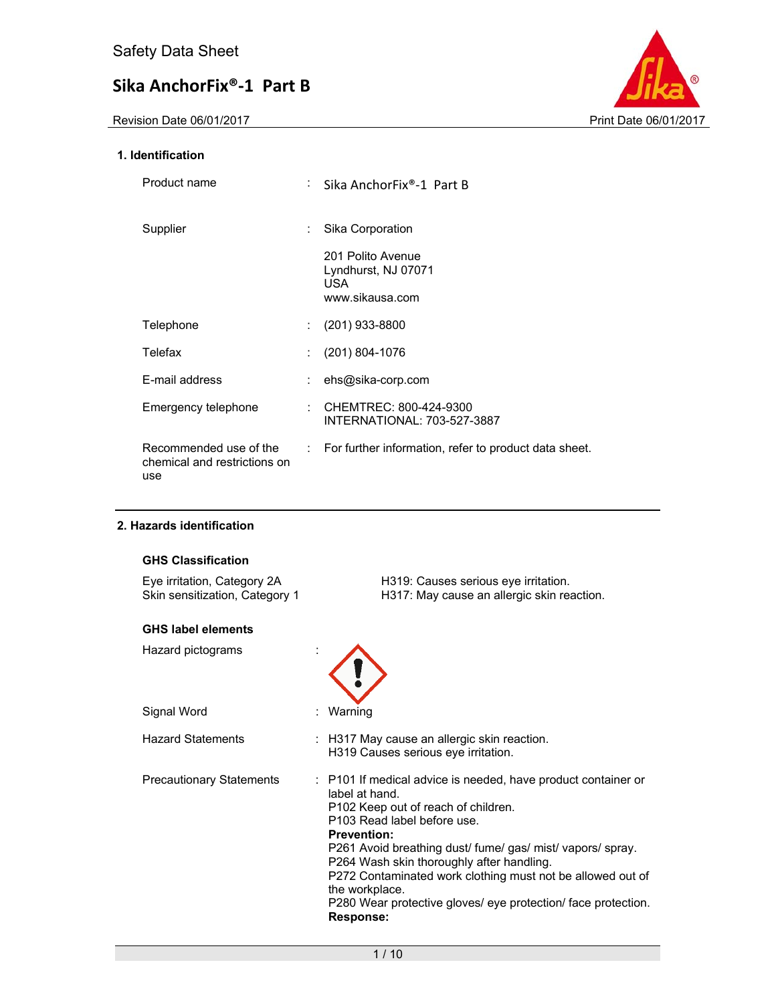

#### **1. Identification**

| Product name                                                  | Sika AnchorFix®-1 Part B                                            |
|---------------------------------------------------------------|---------------------------------------------------------------------|
| Supplier                                                      | Sika Corporation                                                    |
|                                                               | 201 Polito Avenue<br>Lyndhurst, NJ 07071<br>USA.<br>www.sikausa.com |
| Telephone                                                     | $(201)$ 933-8800                                                    |
| Telefax                                                       | $(201) 804 - 1076$                                                  |
| E-mail address                                                | ehs@sika-corp.com                                                   |
| Emergency telephone                                           | CHEMTREC: 800-424-9300<br>INTERNATIONAL: 703-527-3887               |
| Recommended use of the<br>chemical and restrictions on<br>use | : For further information, refer to product data sheet.             |

#### **2. Hazards identification**

| <b>GHS Classification</b>                                     |                                                                                                                                                                                                                                                                                                                                                                                                                                                             |
|---------------------------------------------------------------|-------------------------------------------------------------------------------------------------------------------------------------------------------------------------------------------------------------------------------------------------------------------------------------------------------------------------------------------------------------------------------------------------------------------------------------------------------------|
| Eye irritation, Category 2A<br>Skin sensitization, Category 1 | H319: Causes serious eye irritation.<br>H317: May cause an allergic skin reaction.                                                                                                                                                                                                                                                                                                                                                                          |
| <b>GHS label elements</b>                                     |                                                                                                                                                                                                                                                                                                                                                                                                                                                             |
| Hazard pictograms                                             |                                                                                                                                                                                                                                                                                                                                                                                                                                                             |
| Signal Word                                                   | Warning                                                                                                                                                                                                                                                                                                                                                                                                                                                     |
| <b>Hazard Statements</b>                                      | : H317 May cause an allergic skin reaction.<br>H319 Causes serious eye irritation.                                                                                                                                                                                                                                                                                                                                                                          |
| <b>Precautionary Statements</b>                               | : P101 If medical advice is needed, have product container or<br>label at hand.<br>P102 Keep out of reach of children.<br>P103 Read label before use.<br><b>Prevention:</b><br>P261 Avoid breathing dust/ fume/ gas/ mist/ vapors/ spray.<br>P264 Wash skin thoroughly after handling.<br>P272 Contaminated work clothing must not be allowed out of<br>the workplace.<br>P280 Wear protective gloves/ eye protection/ face protection.<br><b>Response:</b> |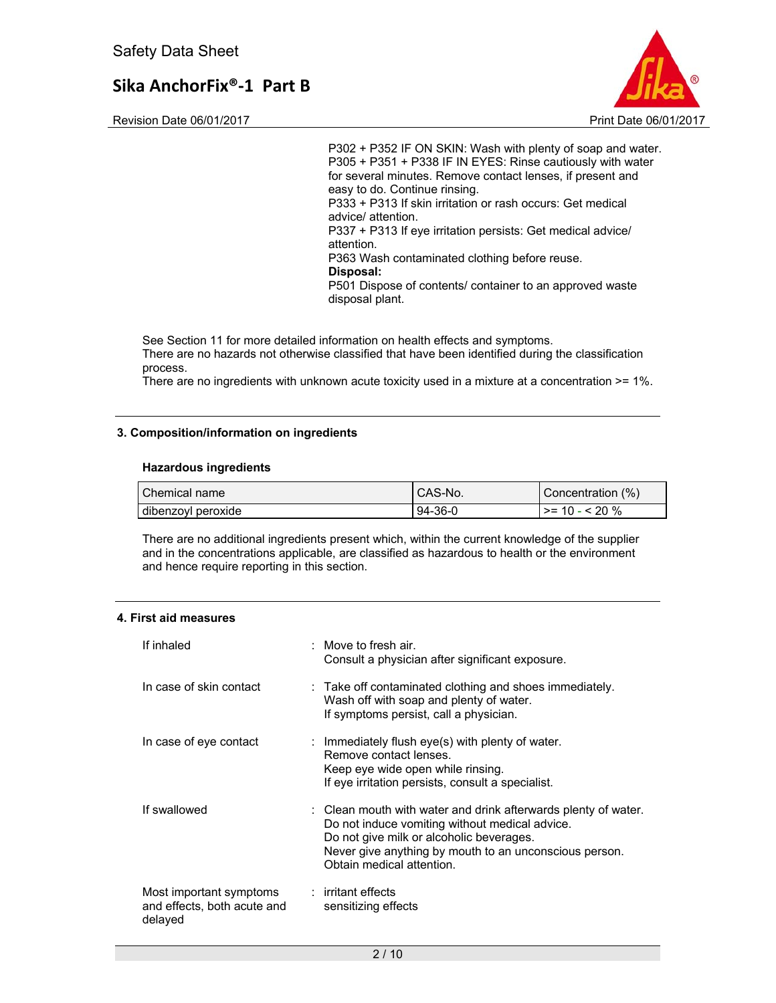

Revision Date 06/01/2017 **Print Date 06/01/2017** 

P302 + P352 IF ON SKIN: Wash with plenty of soap and water. P305 + P351 + P338 IF IN EYES: Rinse cautiously with water for several minutes. Remove contact lenses, if present and easy to do. Continue rinsing. P333 + P313 If skin irritation or rash occurs: Get medical advice/ attention. P337 + P313 If eye irritation persists: Get medical advice/ attention. P363 Wash contaminated clothing before reuse. **Disposal:**  P501 Dispose of contents/ container to an approved waste disposal plant.

See Section 11 for more detailed information on health effects and symptoms. There are no hazards not otherwise classified that have been identified during the classification process.

There are no ingredients with unknown acute toxicity used in a mixture at a concentration >= 1%.

#### **3. Composition/information on ingredients**

#### **Hazardous ingredients**

| Chemical name        | CAS-No. | Concentration (%)   |
|----------------------|---------|---------------------|
| l dibenzovl peroxide | 94-36-0 | $\ge$ = 10 - < 20 % |

There are no additional ingredients present which, within the current knowledge of the supplier and in the concentrations applicable, are classified as hazardous to health or the environment and hence require reporting in this section.

#### **4. First aid measures**

| If inhaled                                                        | $\therefore$ Move to fresh air.<br>Consult a physician after significant exposure.                                                                                                                                                                  |
|-------------------------------------------------------------------|-----------------------------------------------------------------------------------------------------------------------------------------------------------------------------------------------------------------------------------------------------|
| In case of skin contact                                           | $\therefore$ Take off contaminated clothing and shoes immediately.<br>Wash off with soap and plenty of water.<br>If symptoms persist, call a physician.                                                                                             |
| In case of eye contact                                            | : Immediately flush eye(s) with plenty of water.<br>Remove contact lenses.<br>Keep eye wide open while rinsing.<br>If eye irritation persists, consult a specialist.                                                                                |
| If swallowed                                                      | : Clean mouth with water and drink afterwards plenty of water.<br>Do not induce vomiting without medical advice.<br>Do not give milk or alcoholic beverages.<br>Never give anything by mouth to an unconscious person.<br>Obtain medical attention. |
| Most important symptoms<br>and effects, both acute and<br>delayed | $:$ irritant effects<br>sensitizing effects                                                                                                                                                                                                         |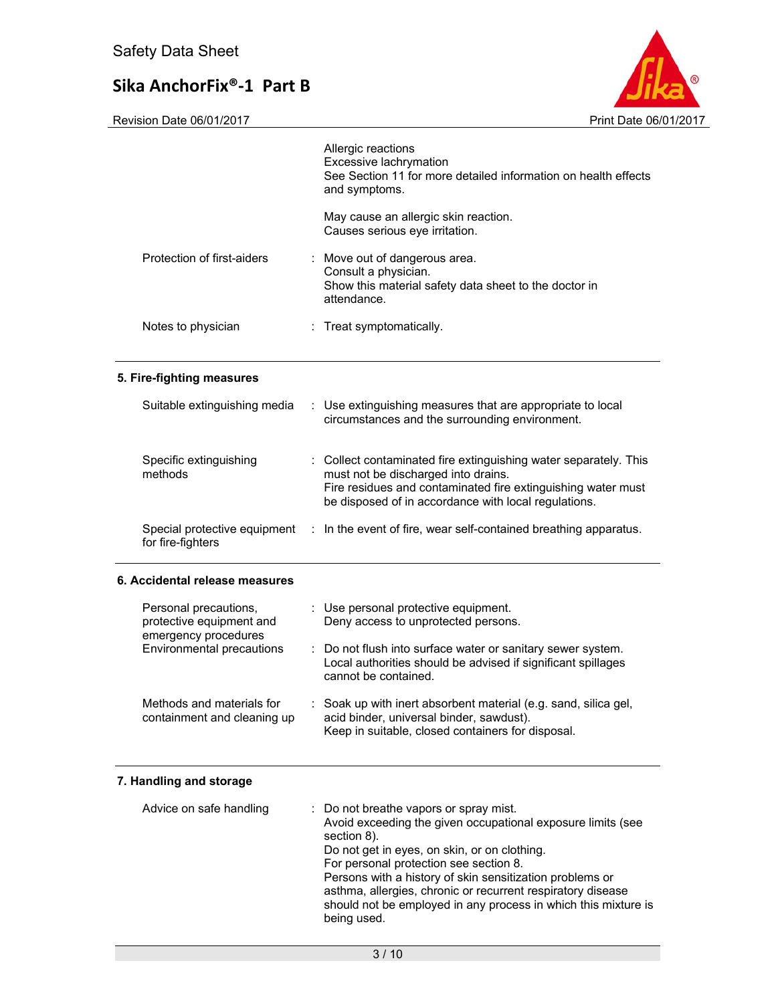

Revision Date 06/01/2017 Print Date 06/01/2017

|                                                                           |    | Allergic reactions<br>Excessive lachrymation<br>See Section 11 for more detailed information on health effects<br>and symptoms.                                                                                                 |
|---------------------------------------------------------------------------|----|---------------------------------------------------------------------------------------------------------------------------------------------------------------------------------------------------------------------------------|
|                                                                           |    | May cause an allergic skin reaction.<br>Causes serious eye irritation.                                                                                                                                                          |
| Protection of first-aiders                                                |    | Move out of dangerous area.<br>Consult a physician.<br>Show this material safety data sheet to the doctor in<br>attendance.                                                                                                     |
| Notes to physician                                                        | ÷. | Treat symptomatically.                                                                                                                                                                                                          |
| 5. Fire-fighting measures                                                 |    |                                                                                                                                                                                                                                 |
| Suitable extinguishing media                                              |    | Use extinguishing measures that are appropriate to local<br>circumstances and the surrounding environment.                                                                                                                      |
| Specific extinguishing<br>methods                                         |    | : Collect contaminated fire extinguishing water separately. This<br>must not be discharged into drains.<br>Fire residues and contaminated fire extinguishing water must<br>be disposed of in accordance with local regulations. |
| Special protective equipment<br>for fire-fighters                         |    | : In the event of fire, wear self-contained breathing apparatus.                                                                                                                                                                |
| 6. Accidental release measures                                            |    |                                                                                                                                                                                                                                 |
| Personal precautions,<br>protective equipment and<br>emergency procedures |    | : Use personal protective equipment.<br>Deny access to unprotected persons.                                                                                                                                                     |
| <b>Environmental precautions</b>                                          |    | Do not flush into surface water or sanitary sewer system.<br>Local authorities should be advised if significant spillages<br>cannot be contained.                                                                               |
| Methods and materials for<br>containment and cleaning up                  |    | Soak up with inert absorbent material (e.g. sand, silica gel,<br>acid binder, universal binder, sawdust).<br>Keep in suitable, closed containers for disposal.                                                                  |
| 7. Handling and storage                                                   |    |                                                                                                                                                                                                                                 |
| Advice on safe handling                                                   |    | Do not breathe vapors or spray mist.                                                                                                                                                                                            |

| Advice on safe handling | : Do not breathe vapors or spray mist.<br>Avoid exceeding the given occupational exposure limits (see<br>section 8).<br>Do not get in eyes, on skin, or on clothing.<br>For personal protection see section 8.<br>Persons with a history of skin sensitization problems or<br>asthma, allergies, chronic or recurrent respiratory disease<br>should not be employed in any process in which this mixture is<br>being used. |
|-------------------------|----------------------------------------------------------------------------------------------------------------------------------------------------------------------------------------------------------------------------------------------------------------------------------------------------------------------------------------------------------------------------------------------------------------------------|
|-------------------------|----------------------------------------------------------------------------------------------------------------------------------------------------------------------------------------------------------------------------------------------------------------------------------------------------------------------------------------------------------------------------------------------------------------------------|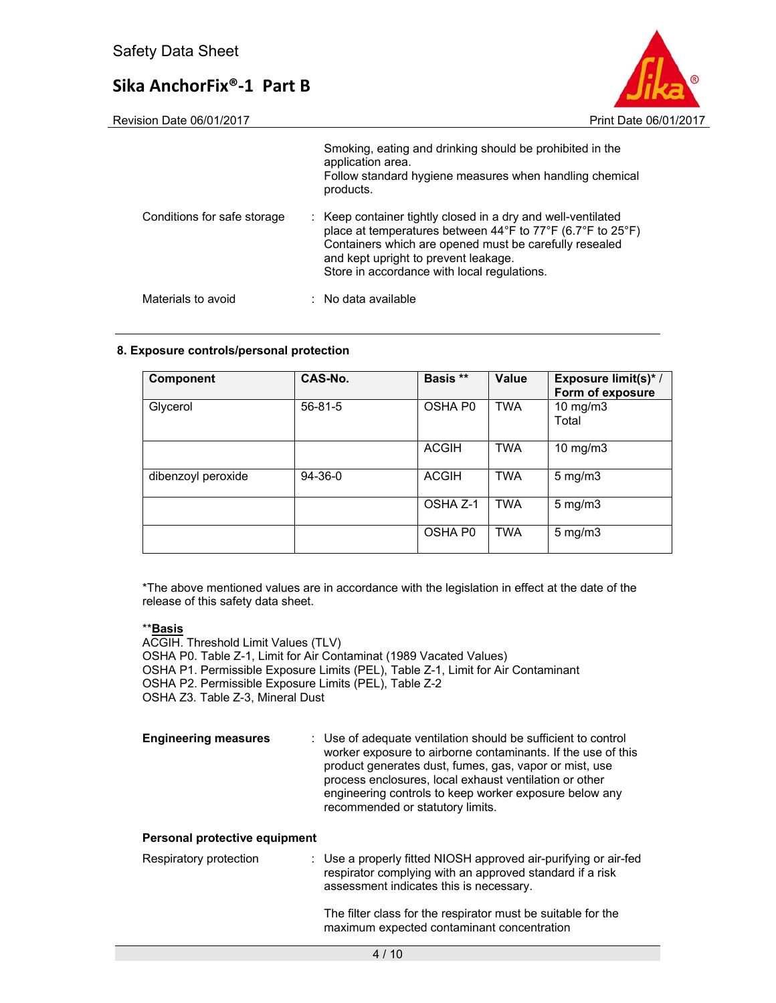

Revision Date 06/01/2017 **Print Date 06/01/2017** 

|                             | Smoking, eating and drinking should be prohibited in the<br>application area.<br>Follow standard hygiene measures when handling chemical<br>products.                                                                                                                       |
|-----------------------------|-----------------------------------------------------------------------------------------------------------------------------------------------------------------------------------------------------------------------------------------------------------------------------|
| Conditions for safe storage | : Keep container tightly closed in a dry and well-ventilated<br>place at temperatures between 44°F to 77°F (6.7°F to 25°F)<br>Containers which are opened must be carefully resealed<br>and kept upright to prevent leakage.<br>Store in accordance with local regulations. |
| Materials to avoid          | $\therefore$ No data available                                                                                                                                                                                                                                              |

#### **8. Exposure controls/personal protection**

| Component          | CAS-No.       | Basis **            | Value      | Exposure limit(s)*/<br>Form of exposure |
|--------------------|---------------|---------------------|------------|-----------------------------------------|
| Glycerol           | $56 - 81 - 5$ | OSHA P <sub>0</sub> | <b>TWA</b> | $10$ mg/m $3$<br>Total                  |
|                    |               | <b>ACGIH</b>        | <b>TWA</b> | $10$ mg/m $3$                           |
| dibenzoyl peroxide | 94-36-0       | <b>ACGIH</b>        | <b>TWA</b> | $5 \text{ mg/m}$                        |
|                    |               | OSHA Z-1            | <b>TWA</b> | $5 \text{ mg/m}$                        |
|                    |               | OSHA P <sub>0</sub> | <b>TWA</b> | $5 \text{ mg/m}$                        |

\*The above mentioned values are in accordance with the legislation in effect at the date of the release of this safety data sheet.

#### \*\***Basis**

ACGIH. Threshold Limit Values (TLV) OSHA P0. Table Z-1, Limit for Air Contaminat (1989 Vacated Values) OSHA P1. Permissible Exposure Limits (PEL), Table Z-1, Limit for Air Contaminant OSHA P2. Permissible Exposure Limits (PEL), Table Z-2 OSHA Z3. Table Z-3, Mineral Dust

**Engineering measures** : Use of adequate ventilation should be sufficient to control worker exposure to airborne contaminants. If the use of this product generates dust, fumes, gas, vapor or mist, use process enclosures, local exhaust ventilation or other engineering controls to keep worker exposure below any recommended or statutory limits.

#### **Personal protective equipment**

| Respiratory protection | : Use a properly fitted NIOSH approved air-purifying or air-fed<br>respirator complying with an approved standard if a risk<br>assessment indicates this is necessary. |
|------------------------|------------------------------------------------------------------------------------------------------------------------------------------------------------------------|
|                        |                                                                                                                                                                        |

The filter class for the respirator must be suitable for the maximum expected contaminant concentration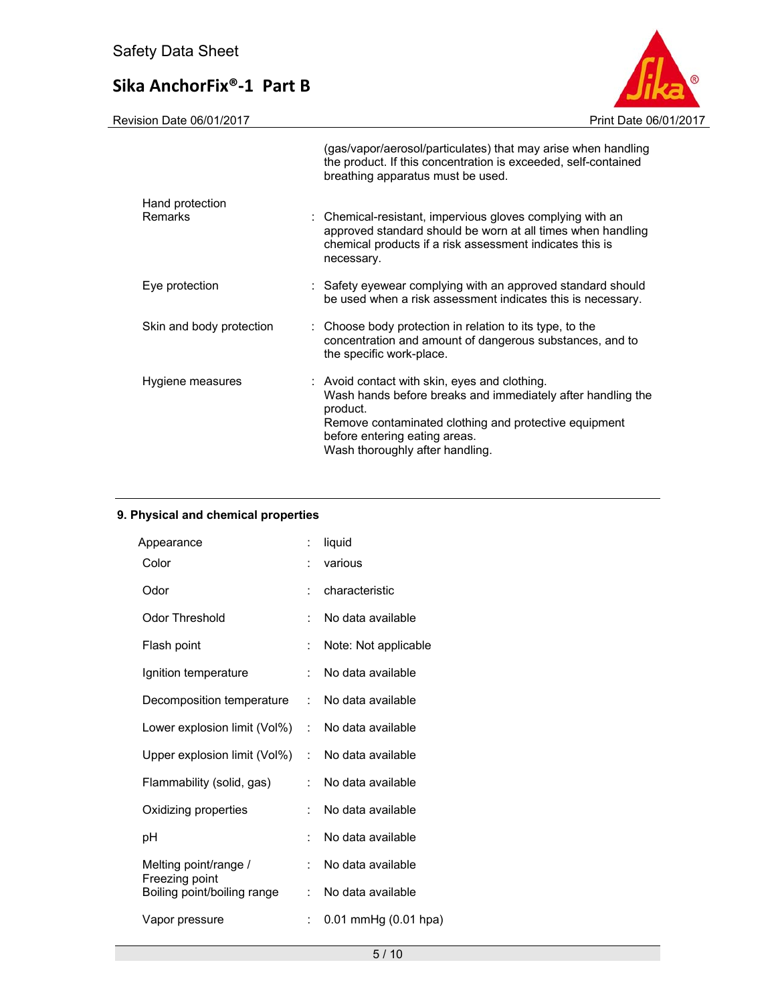Revision Date 06/01/2017 **Print Date 06/01/2017** 

|                                   | (gas/vapor/aerosol/particulates) that may arise when handling<br>the product. If this concentration is exceeded, self-contained<br>breathing apparatus must be used.                                                                                  |
|-----------------------------------|-------------------------------------------------------------------------------------------------------------------------------------------------------------------------------------------------------------------------------------------------------|
| Hand protection<br><b>Remarks</b> | : Chemical-resistant, impervious gloves complying with an<br>approved standard should be worn at all times when handling<br>chemical products if a risk assessment indicates this is<br>necessary.                                                    |
| Eye protection                    | : Safety eyewear complying with an approved standard should<br>be used when a risk assessment indicates this is necessary.                                                                                                                            |
| Skin and body protection          | : Choose body protection in relation to its type, to the<br>concentration and amount of dangerous substances, and to<br>the specific work-place.                                                                                                      |
| Hygiene measures                  | : Avoid contact with skin, eyes and clothing.<br>Wash hands before breaks and immediately after handling the<br>product.<br>Remove contaminated clothing and protective equipment<br>before entering eating areas.<br>Wash thoroughly after handling. |

#### **9. Physical and chemical properties**

| Appearance                                    | ÷              | liquid                   |
|-----------------------------------------------|----------------|--------------------------|
| Color                                         | $\ddot{\cdot}$ | various                  |
| Odor                                          | ÷              | characteristic           |
| Odor Threshold                                | $\ddot{\cdot}$ | No data available        |
| Flash point                                   | $\ddot{\cdot}$ | Note: Not applicable     |
| Ignition temperature                          | ÷              | No data available        |
| Decomposition temperature                     | t.             | No data available        |
| Lower explosion limit (Vol%)                  |                | : No data available      |
| Upper explosion limit (Vol%)                  | ÷              | No data available        |
| Flammability (solid, gas)                     | ÷              | No data available        |
| Oxidizing properties                          | $\ddot{\cdot}$ | No data available        |
| рH                                            | $\ddot{\cdot}$ | No data available        |
| Melting point/range /                         | $\ddot{\cdot}$ | No data available        |
| Freezing point<br>Boiling point/boiling range | ÷.             | No data available        |
| Vapor pressure                                | ÷              | $0.01$ mmHg $(0.01$ hpa) |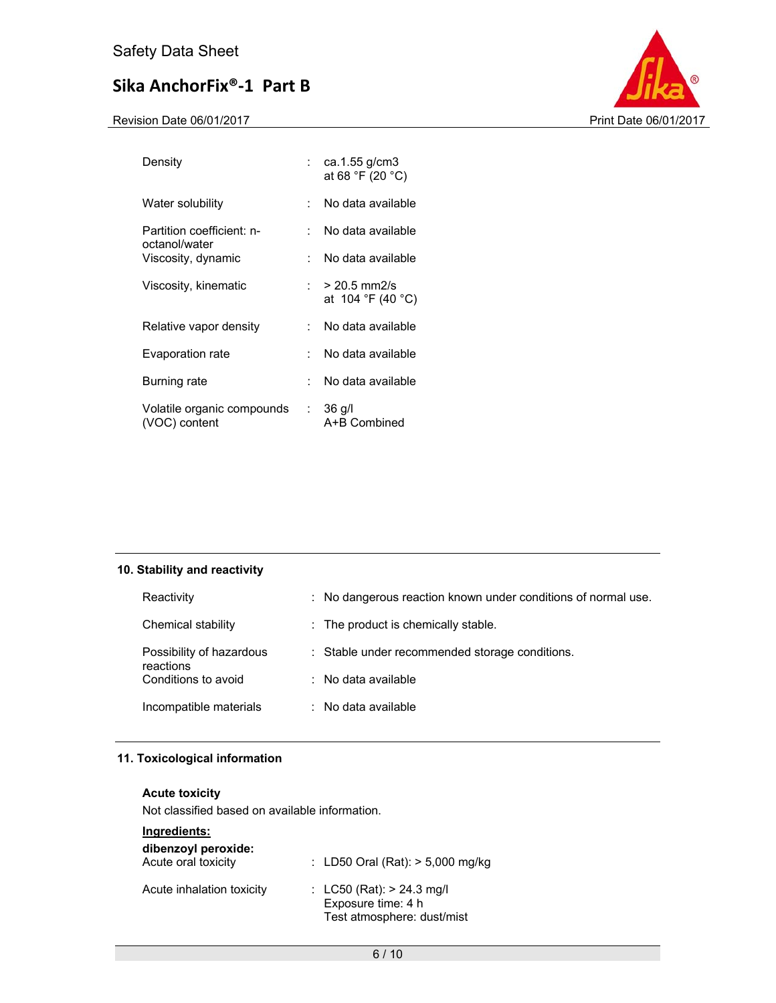Revision Date 06/01/2017 **Print Date 06/01/2017** 



| Density                                     |                           | ca.1.55 g/cm3<br>at 68 °F (20 °C)                                    |
|---------------------------------------------|---------------------------|----------------------------------------------------------------------|
| Water solubility                            | ۰.,                       | No data available                                                    |
| Partition coefficient: n-<br>octanol/water  | × 1                       | No data available                                                    |
| Viscosity, dynamic                          | × 1                       | No data available                                                    |
| Viscosity, kinematic                        |                           | : $>$ 20.5 mm2/s<br>at $104 \text{ }^{\circ}F(40 \text{ }^{\circ}C)$ |
| Relative vapor density                      | ۰.,                       | No data available                                                    |
| Evaporation rate                            | ۰.,                       | No data available                                                    |
| Burning rate                                |                           | No data available                                                    |
| Volatile organic compounds<br>(VOC) content | $\mathbb{Z}^{\mathbb{Z}}$ | $36$ g/l<br>A+B Combined                                             |

#### **10. Stability and reactivity**

| Reactivity                            | : No dangerous reaction known under conditions of normal use. |
|---------------------------------------|---------------------------------------------------------------|
| Chemical stability                    | : The product is chemically stable.                           |
| Possibility of hazardous<br>reactions | : Stable under recommended storage conditions.                |
| Conditions to avoid                   | $\therefore$ No data available                                |
| Incompatible materials                | $\therefore$ No data available                                |

#### **11. Toxicological information**

#### **Acute toxicity**

Not classified based on available information.

### **Ingredients:**

| dibenzoyl peroxide:<br>Acute oral toxicity | : LD50 Oral (Rat): $> 5,000$ mg/kg                                                |
|--------------------------------------------|-----------------------------------------------------------------------------------|
| Acute inhalation toxicity                  | : $LC50$ (Rat): $> 24.3$ mg/l<br>Exposure time: 4 h<br>Test atmosphere: dust/mist |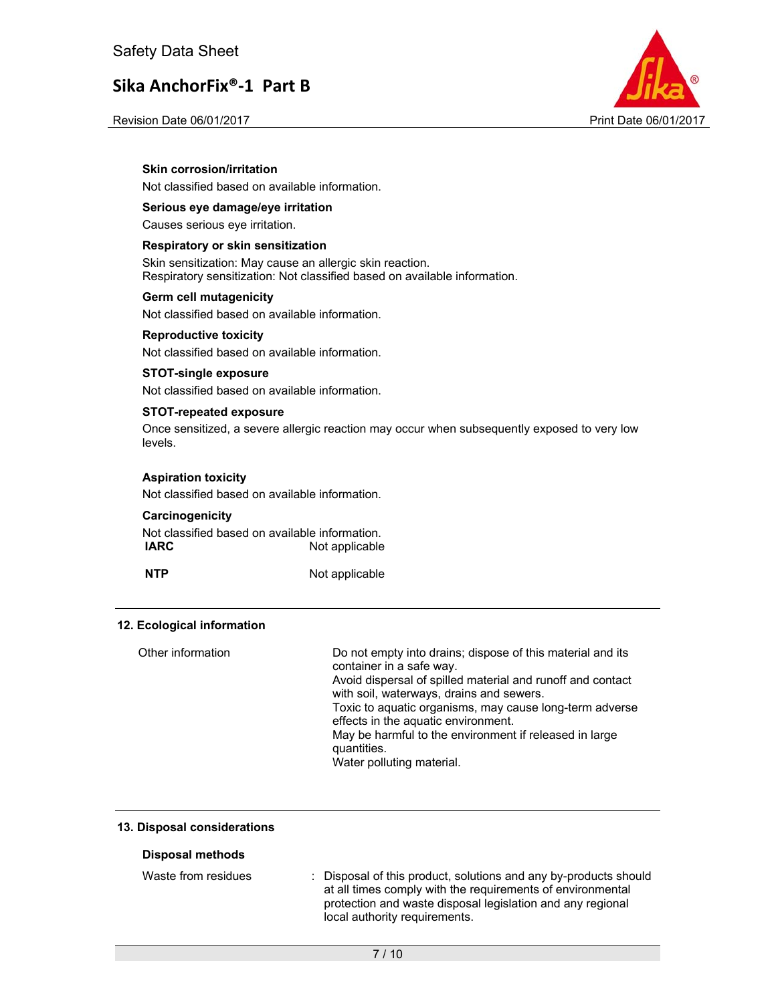



Revision Date 06/01/2017 **Print Date 06/01/2017** 

#### **Skin corrosion/irritation**

Not classified based on available information.

#### **Serious eye damage/eye irritation**

Causes serious eye irritation.

#### **Respiratory or skin sensitization**

Skin sensitization: May cause an allergic skin reaction. Respiratory sensitization: Not classified based on available information.

#### **Germ cell mutagenicity**

Not classified based on available information.

#### **Reproductive toxicity**

Not classified based on available information.

#### **STOT-single exposure**

Not classified based on available information.

#### **STOT-repeated exposure**

Once sensitized, a severe allergic reaction may occur when subsequently exposed to very low levels.

#### **Aspiration toxicity**

Not classified based on available information.

#### **Carcinogenicity**

Not classified based on available information. **IARC** Not applicable

**NTP** Not applicable

#### **12. Ecological information**

| Other information | Do not empty into drains; dispose of this material and its<br>container in a safe way.<br>Avoid dispersal of spilled material and runoff and contact<br>with soil, waterways, drains and sewers.<br>Toxic to aquatic organisms, may cause long-term adverse<br>effects in the aquatic environment.<br>May be harmful to the environment if released in large<br>quantities.<br>Water polluting material. |
|-------------------|----------------------------------------------------------------------------------------------------------------------------------------------------------------------------------------------------------------------------------------------------------------------------------------------------------------------------------------------------------------------------------------------------------|
|                   |                                                                                                                                                                                                                                                                                                                                                                                                          |

#### **13. Disposal considerations**

#### **Disposal methods**

| Waste from residues |  | : Disposal of this product, solutions and any by-products should |
|---------------------|--|------------------------------------------------------------------|
|                     |  | at all times comply with the requirements of environmental       |
|                     |  | protection and waste disposal legislation and any regional       |
|                     |  | local authority requirements.                                    |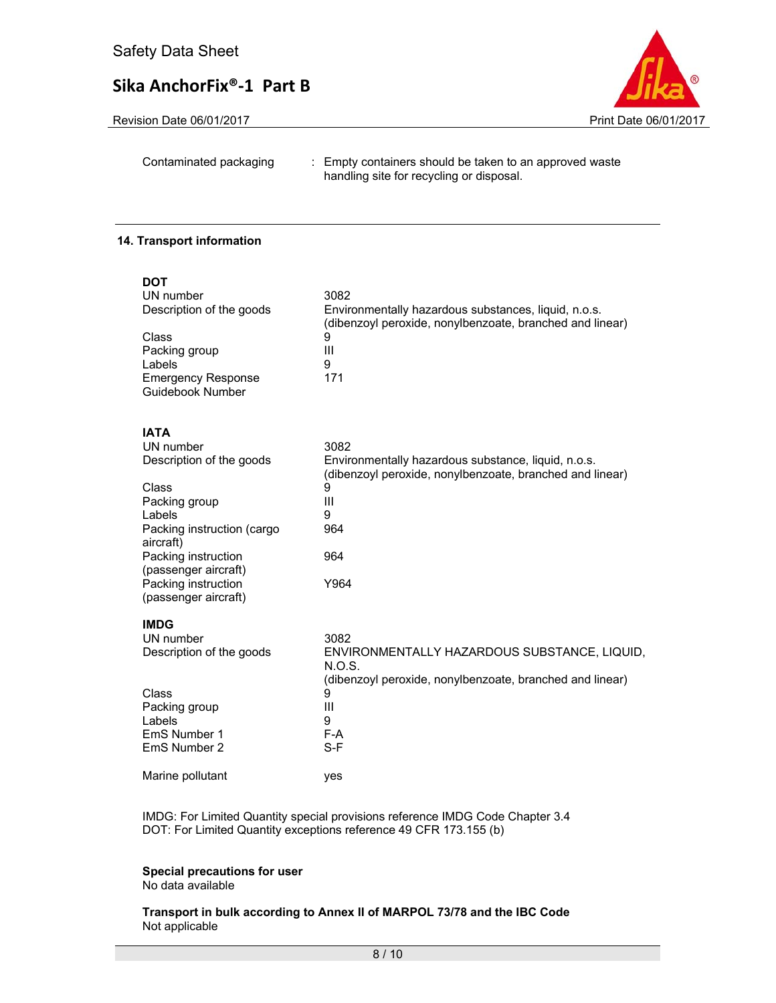Revision Date 06/01/2017 **Print Date 06/01/2017** 



Contaminated packaging : Empty containers should be taken to an approved waste handling site for recycling or disposal.

#### **14. Transport information**

| <b>DOT</b><br>UN number<br>Description of the goods<br>Class<br>Packing group<br>Labels<br><b>Emergency Response</b><br><b>Guidebook Number</b>                                                                                   | 3082<br>Environmentally hazardous substances, liquid, n.o.s.<br>(dibenzoyl peroxide, nonylbenzoate, branched and linear)<br>9<br>Ш<br>9<br>171               |
|-----------------------------------------------------------------------------------------------------------------------------------------------------------------------------------------------------------------------------------|--------------------------------------------------------------------------------------------------------------------------------------------------------------|
| <b>IATA</b><br>UN number<br>Description of the goods<br>Class<br>Packing group<br>Labels<br>Packing instruction (cargo<br>aircraft)<br>Packing instruction<br>(passenger aircraft)<br>Packing instruction<br>(passenger aircraft) | 3082<br>Environmentally hazardous substance, liquid, n.o.s.<br>(dibenzoyl peroxide, nonylbenzoate, branched and linear)<br>9<br>Ш<br>9<br>964<br>964<br>Y964 |
| <b>IMDG</b><br>UN number<br>Description of the goods<br>Class<br>Packing group<br>Labels<br>EmS Number 1<br>EmS Number 2                                                                                                          | 3082<br>ENVIRONMENTALLY HAZARDOUS SUBSTANCE, LIQUID,<br>N.O.S.<br>(dibenzoyl peroxide, nonylbenzoate, branched and linear)<br>9<br>Ш<br>9<br>F-A<br>$S-F$    |
| Marine pollutant                                                                                                                                                                                                                  | yes                                                                                                                                                          |

IMDG: For Limited Quantity special provisions reference IMDG Code Chapter 3.4 DOT: For Limited Quantity exceptions reference 49 CFR 173.155 (b)

#### **Special precautions for user**

No data available

**Transport in bulk according to Annex II of MARPOL 73/78 and the IBC Code**  Not applicable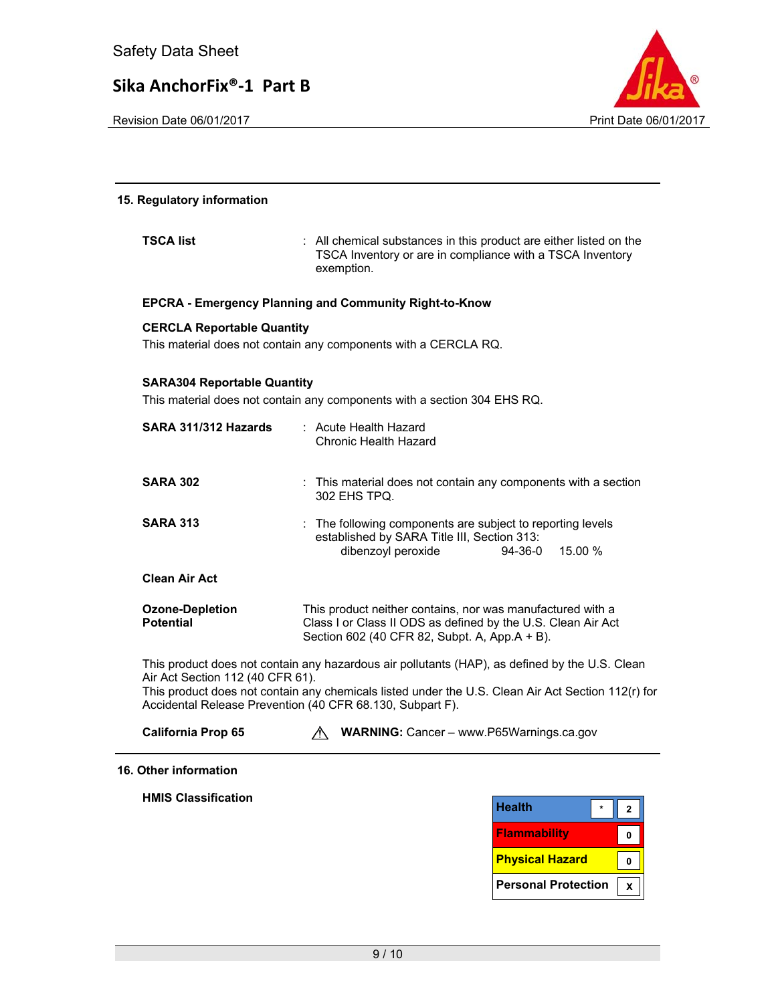Revision Date 06/01/2017 **Print Date 06/01/2017** Print Date 06/01/2017



# **15. Regulatory information TSCA list** : All chemical substances in this product are either listed on the TSCA Inventory or are in compliance with a TSCA Inventory exemption. **EPCRA - Emergency Planning and Community Right-to-Know CERCLA Reportable Quantity**  This material does not contain any components with a CERCLA RQ. **SARA304 Reportable Quantity**  This material does not contain any components with a section 304 EHS RQ. **SARA 311/312 Hazards** : Acute Health Hazard Chronic Health Hazard **SARA 302 :** This material does not contain any components with a section 302 EHS TPQ. **SARA 313 :** The following components are subject to reporting levels **Clean Air Act Ozone-Depletion Potential**  established by SARA Title III, Section 313: dibenzoyl peroxide 94-36-0 15.00 % This product neither contains, nor was manufactured with a Class I or Class II ODS as defined by the U.S. Clean Air Act Section 602 (40 CFR 82, Subpt. A, App.A + B). This product does not contain any hazardous air pollutants (HAP), as defined by the U.S. Clean Air Act Section 112 (40 CFR 61). This product does not contain any chemicals listed under the U.S. Clean Air Act Section 112(r) for Accidental Release Prevention (40 CFR 68.130, Subpart F). **California Prop 65 WARNING:** Cancer – www.P65Warnings.ca.gov **16. Other information**

**HMIS Classification**

| Health                     |  |
|----------------------------|--|
| <b>Flammability</b>        |  |
| <b>Physical Hazard</b>     |  |
| <b>Personal Protection</b> |  |